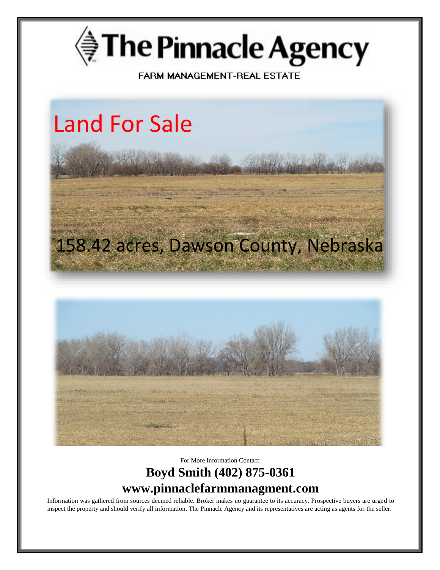

FARM MANAGEMENT-REAL ESTATE



For More Information Contact: **Boyd Smith (402) 875-0361 www.pinnaclefarmmanagment.com**

Information was gathered from sources deemed reliable. Broker makes no guarantee to its accuracy. Prospective buyers are urged to inspect the property and should verify all information. The Pinnacle Agency and its representatives are acting as agents for the seller.